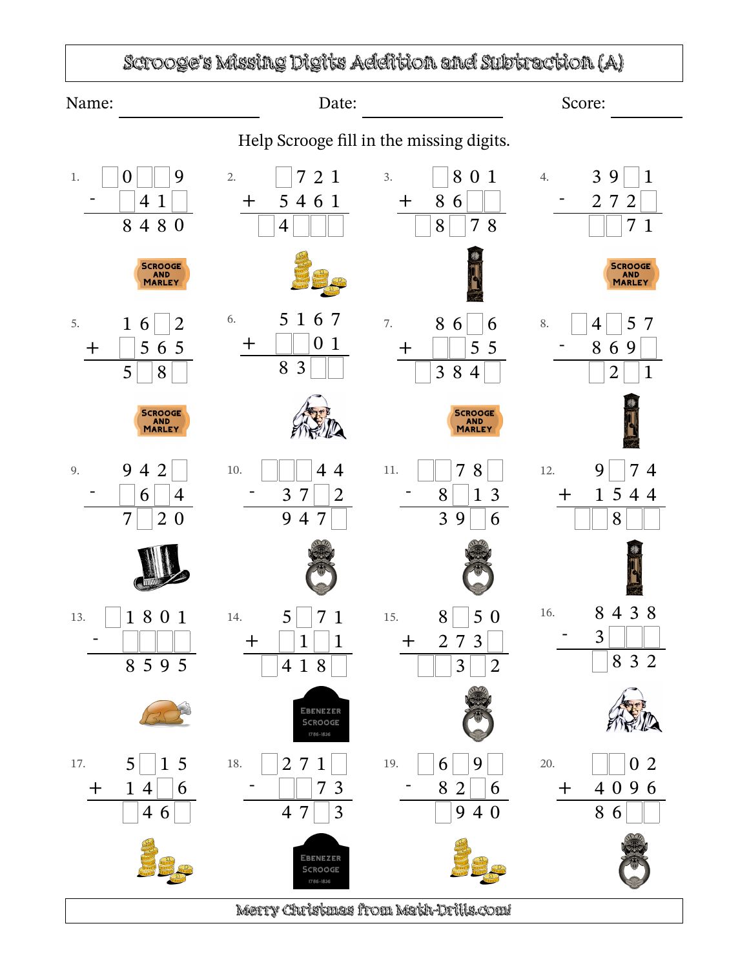## Scrooge's Missing Digits Addition and Subtraction (A)

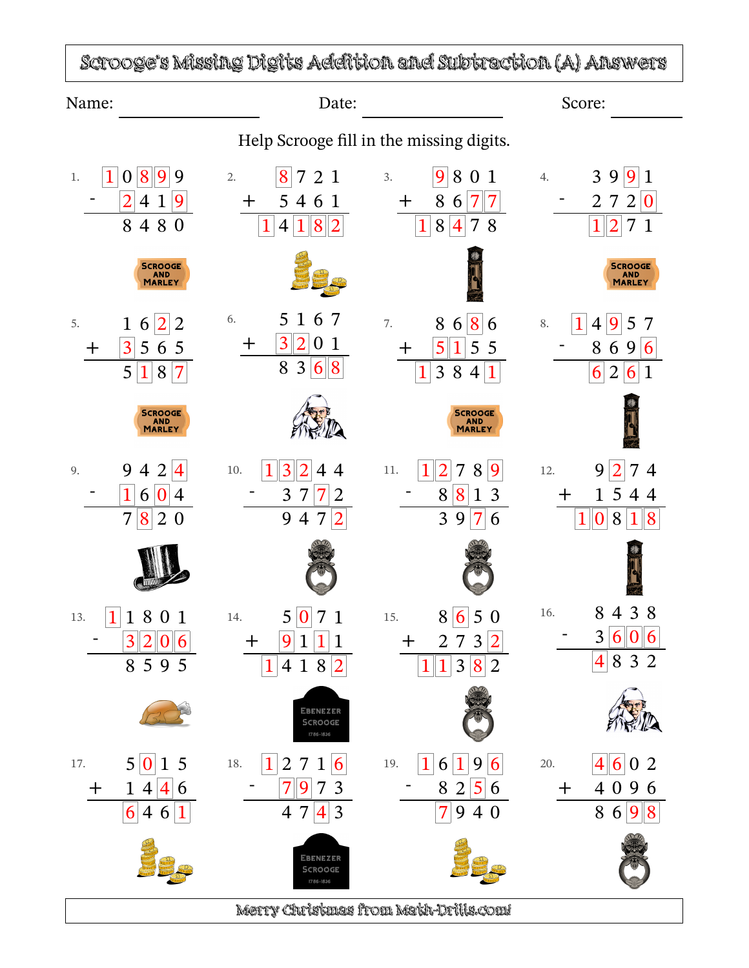Scrooge's Missing Digits Addition and Subtraction (A) Answers Name: Score: Date: Date: Score: Score: Score: Score: Score: Score: Score: Score: Score: Score: Score: Score: Score: Score: Score: Score: Score: Score: Score: Score: Score: Score: Score: Score: Score: Score: Score: Score: S Help Scrooge fill in the missing digits.  $3.$  9 8 0 1 1 0 8 9 9 2. 8 7 2 1 1. 4.  $39|9|1$  $-$  2 4 1 9  $-$  2 7 2  $\boxed{0}$ + 5 4 6 1  $+$  8 6 7 7 8 4 8 0  $1 | 4 | 1 | 8 | 2$  $1 \, 8 \, 4 \, 7 \, 8$   $1 \, 2 \, 7 \, 1$ SCROOGE<br>AND<br>MARLEY SCROOGE<br>AND<br>MARLEY 6. 5 1 6 7 7.  $8686$ 5.  $1 \ 6 \ 2 \ 2$ 8.  $\boxed{1}$  4  $\boxed{9}$  5 7  $+$  3201  $-8696$  $+$  3 5 6 5  $+$  5 1 5 5  $8368$  $5|1|8|7$  $1 \ 3 \ 8 \ 4 \ 1$  $6|2|6|1$ SCROOGE<br>AND<br>MARLEY **SCROOGE** AND<br>MARLEY 10.  $\boxed{1}\ \boxed{3}\ \boxed{2}\ 4\ 4$  11.  $\boxed{1}\ \boxed{2}\ 7\ 8\ \boxed{9}$ 9 4 2  $|4|$ 12. 9  $2 7 4$ 9.  $-$  1 6 0 4  $- 3 \ 7 \ 7 \ 2$  $- 8813$ + 1 5 4 4 1 0 8 1 8 7 8 2 0  $9\; 4\; 7\,\vert 2$ 3 9 7 6 15.  $8 \overline{6} 5 0$ 16. 8 4 3 8  $\boxed{1}$  1 8 0 1 14. 5 0 7 1 13.  $- 3 |6|0|6$  $3|2|0|6$  $+$  9 1 1 1  $+$  2 7 3 2  $8595$ 4 8 3 2  $1 \, 4 \, 1 \, 8 \, 2$  $1|1|3|8|2$ EBENEZER SCROOGE 1786-1836 17.  $5\overline{0}15$ 19.  $16 19 6$  20.  $46 02$ 18.  $\boxed{1}$  2 7 1 6 19.  $7973$  $- 8256$  $+$  1 4 4 6 + 4 0 9 6 8 6 9 8  $\overline{4}$   $\overline{7}$  $6 \mid 4 \mid 6 \mid 1$  $7|940$ EBENEZER SCROOGE Merry Christmas from Math-Drills.com!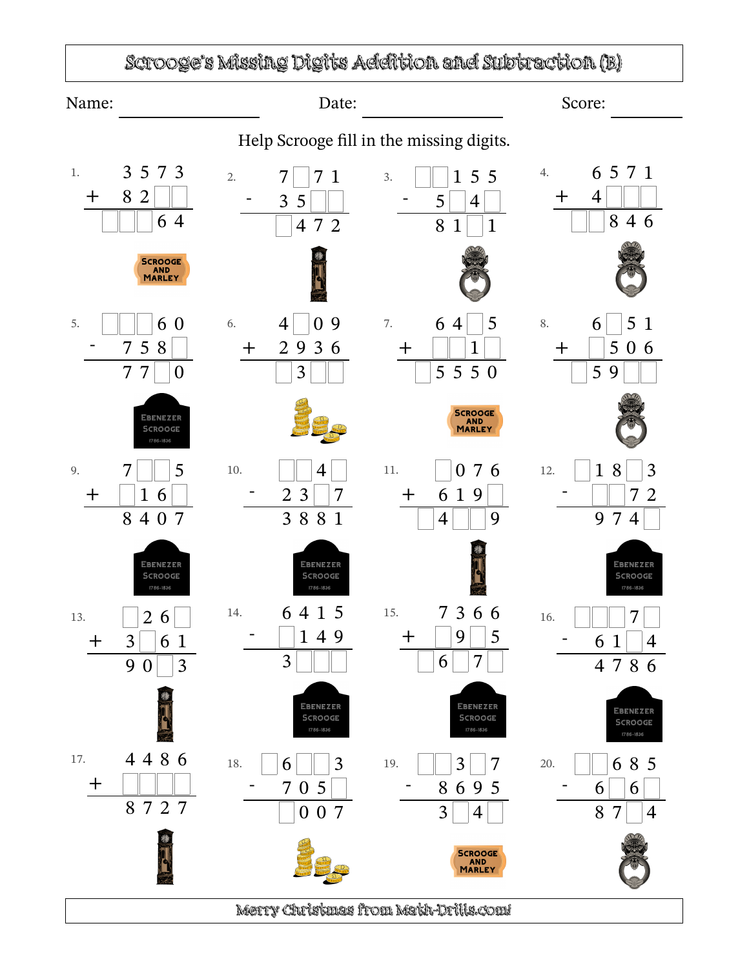## Scrooge's Missing Digits Addition and Subtraction (B)

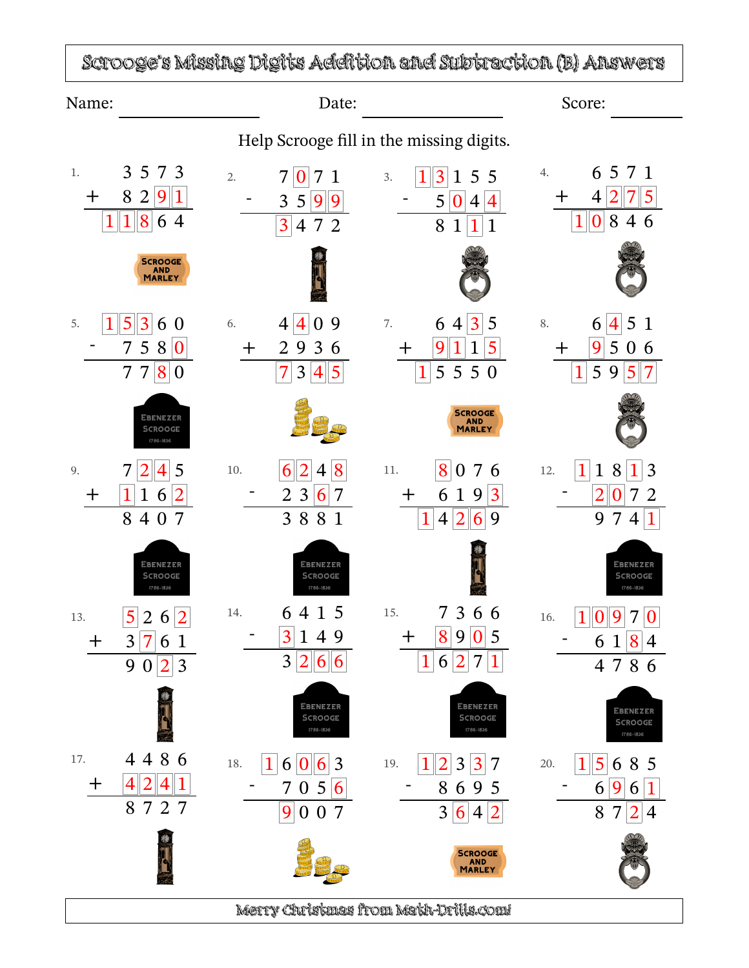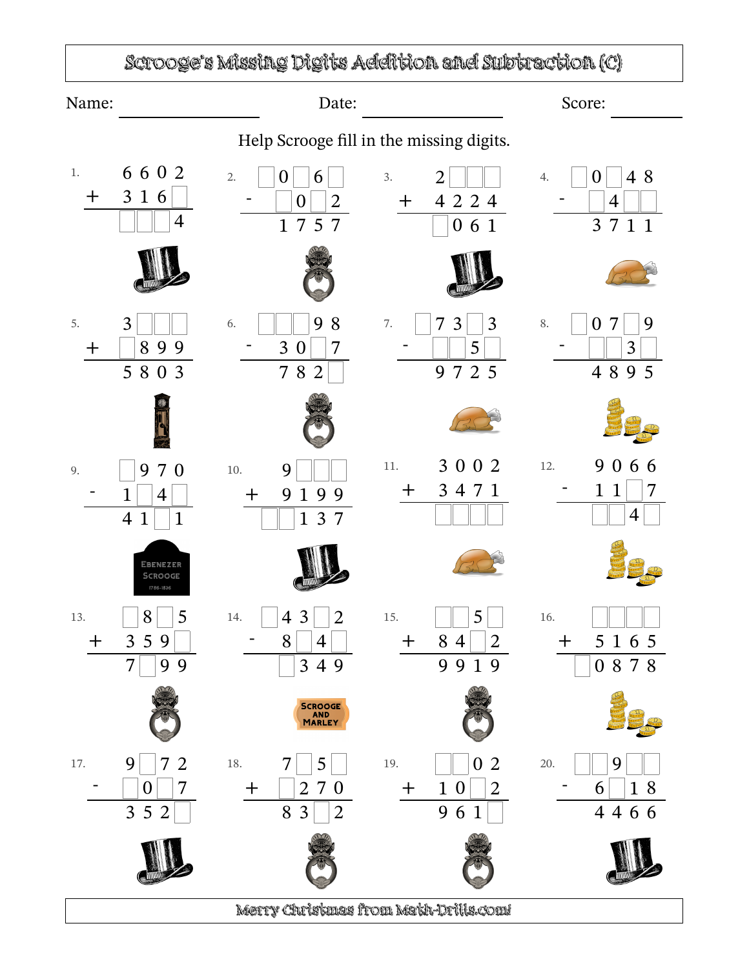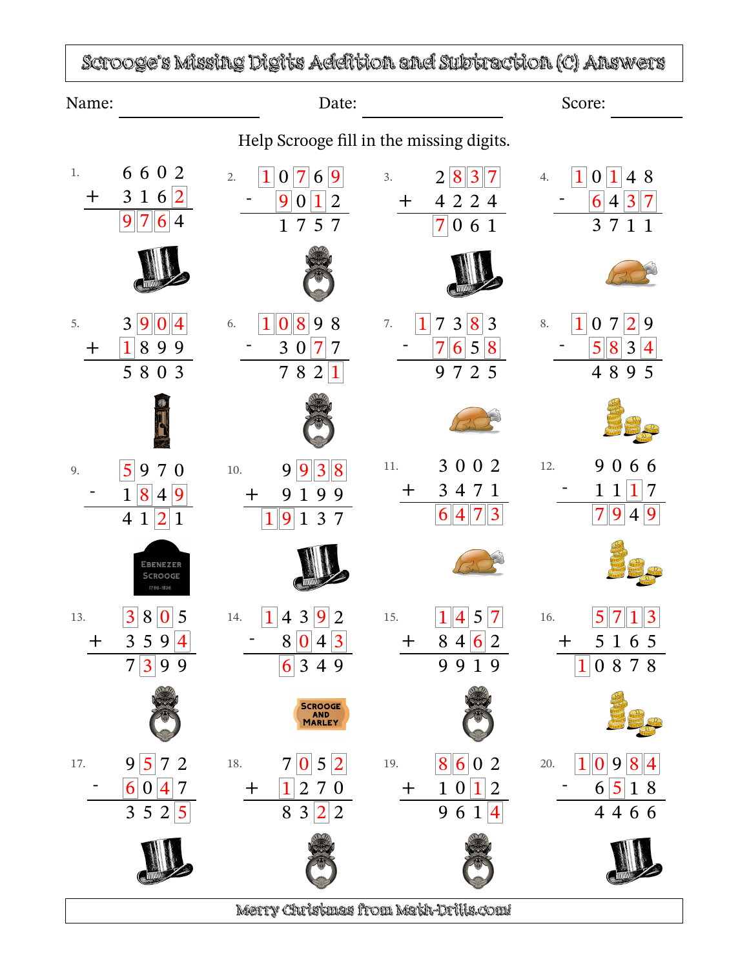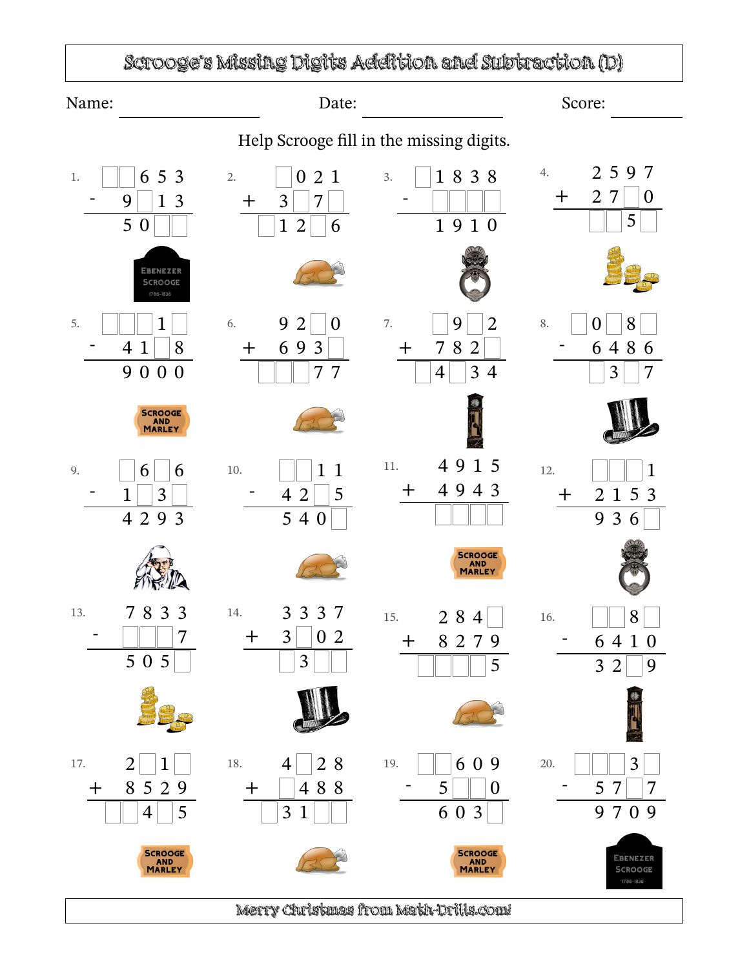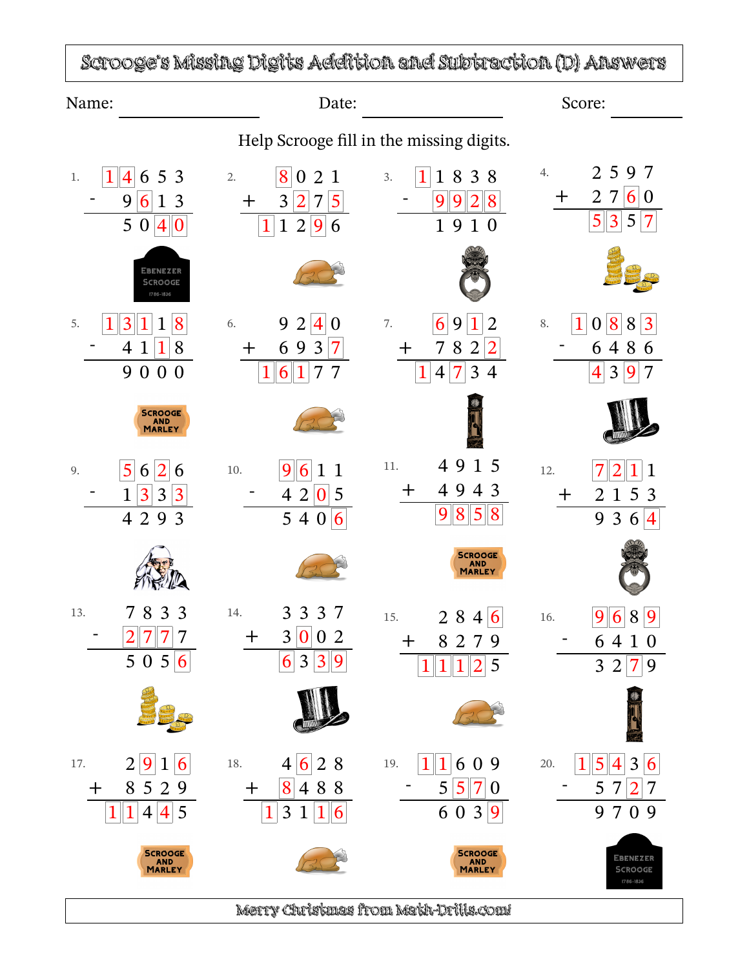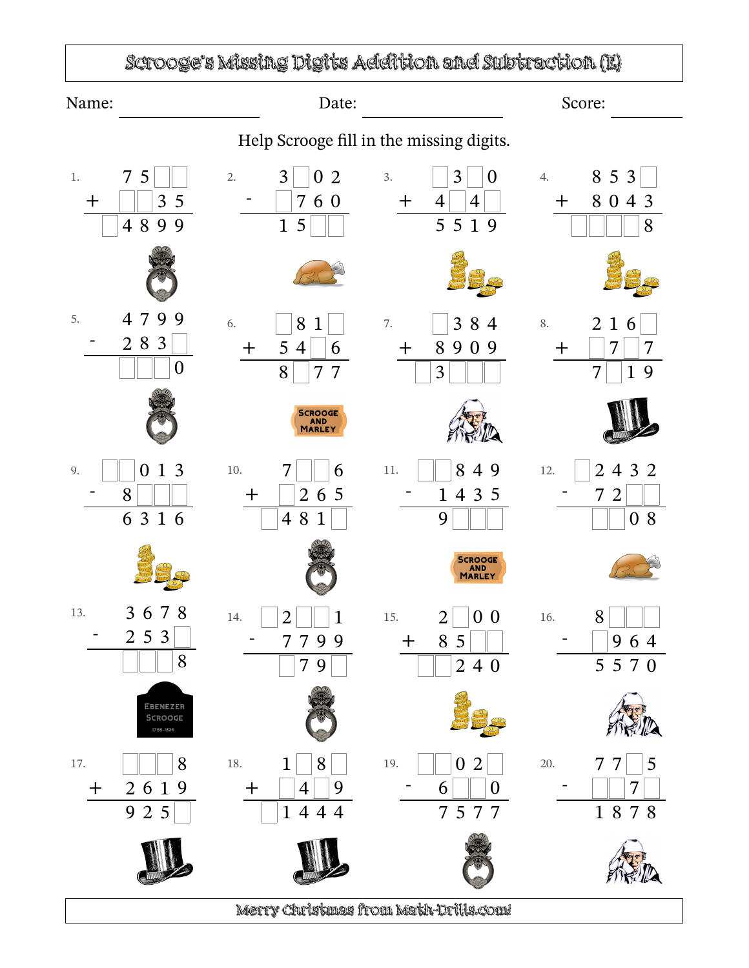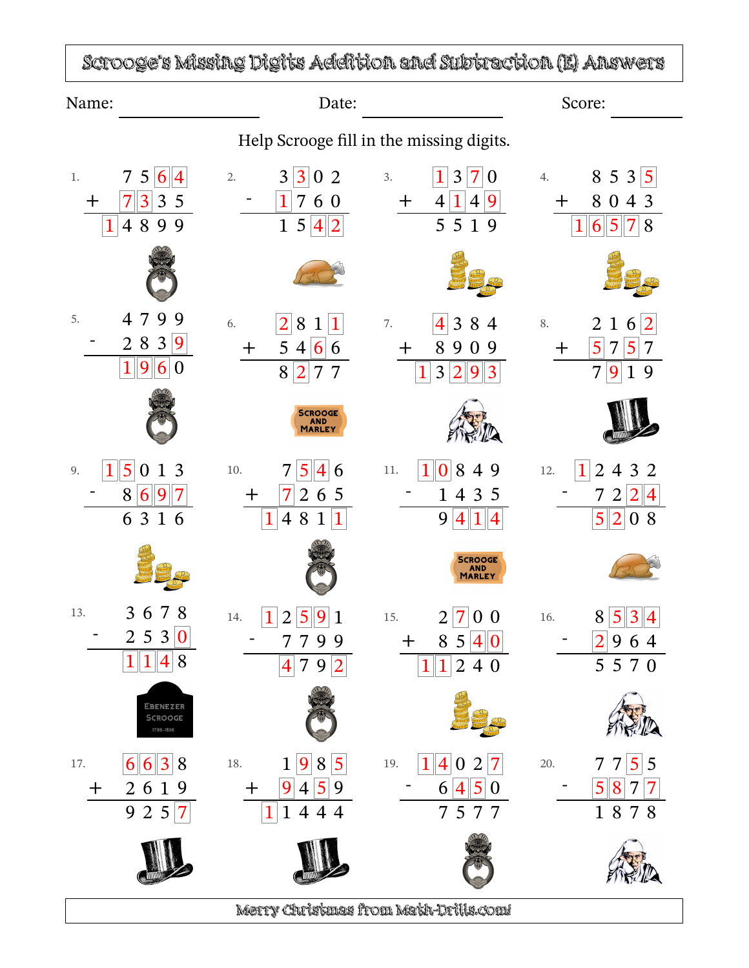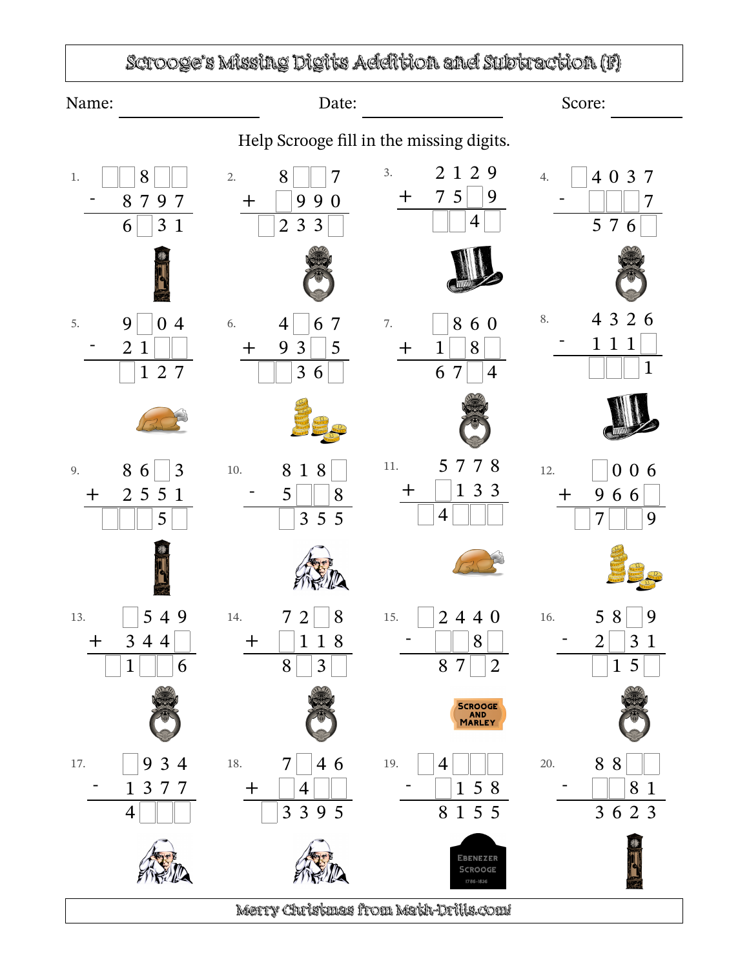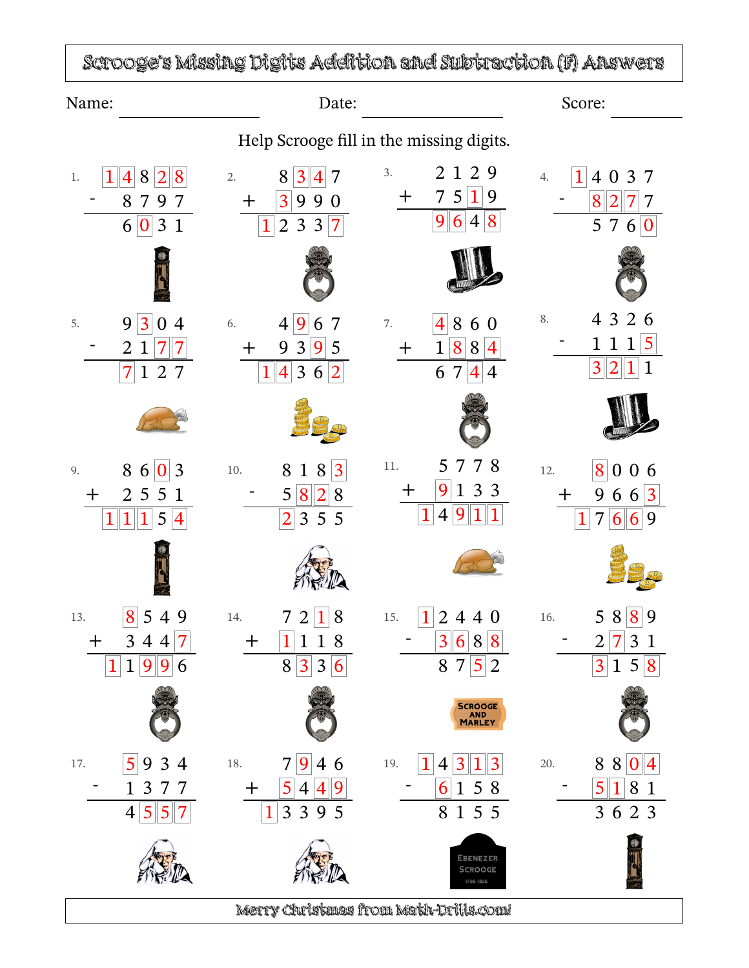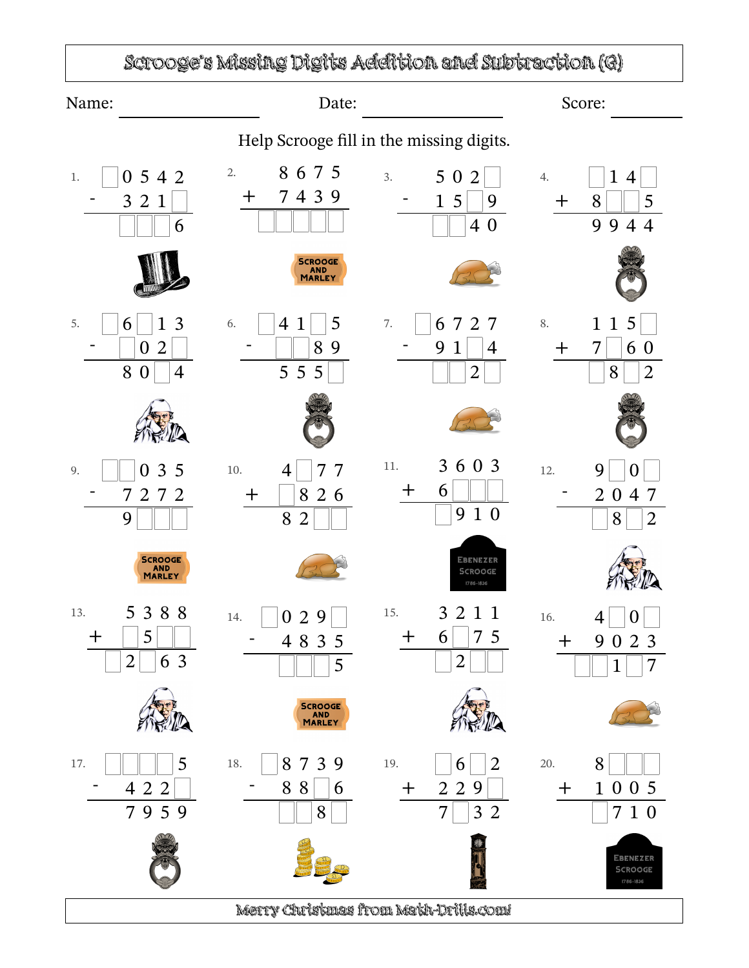

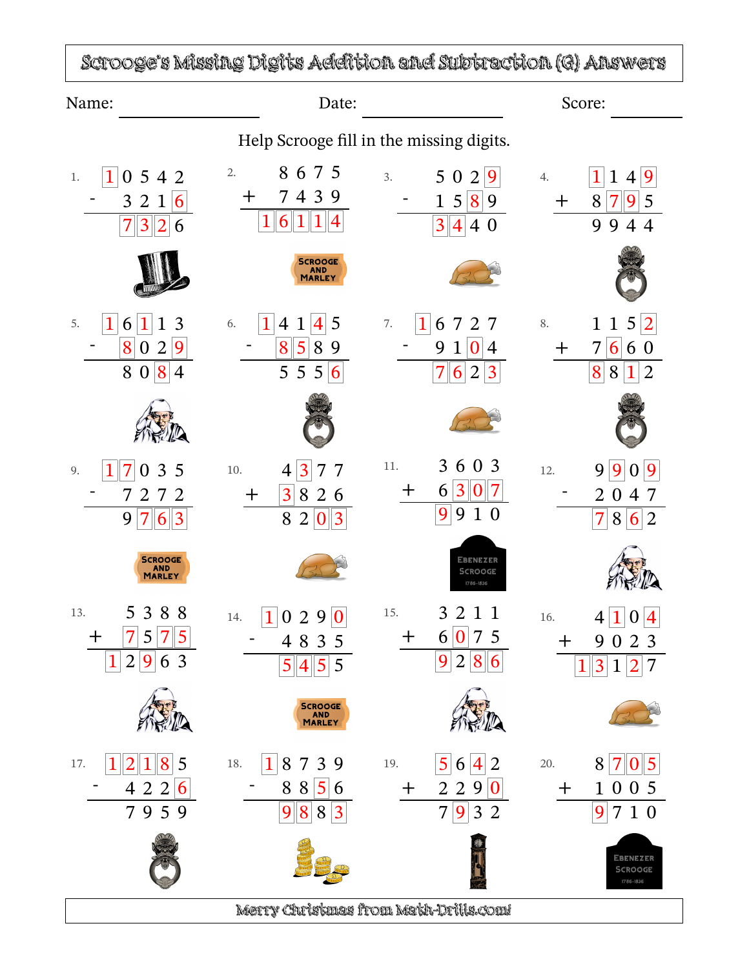| Name:                                                                                  | Date:                                                                                                                |                                                                                                                                        | Score:                                                                                                  |
|----------------------------------------------------------------------------------------|----------------------------------------------------------------------------------------------------------------------|----------------------------------------------------------------------------------------------------------------------------------------|---------------------------------------------------------------------------------------------------------|
|                                                                                        |                                                                                                                      | Help Scrooge fill in the missing digits.                                                                                               |                                                                                                         |
| 542<br>$\theta$<br>$1.$<br>3 <sub>2</sub><br>6<br>$\mathbf{1}$<br>7<br>3<br>2<br>6     | 8675<br>2.<br>7439<br>┿<br>6                                                                                         | 5 0<br>3.<br>$\overline{2}$<br>9<br>15 8 9<br>3 <sup>1</sup><br>$\vert 4 \vert$<br>4 0                                                 | 9<br>1<br>4.<br>1<br>4<br>8<br>7<br>5<br>9<br>9<br>9<br>44                                              |
|                                                                                        | <b>SCROOGE</b><br>AND<br>MARLEY                                                                                      |                                                                                                                                        |                                                                                                         |
| 3<br>5.<br>6<br>8<br>2<br>9<br>$\bf{0}$<br>8<br>$\mathbf{0}$<br>8<br>$\overline{4}$    | $\mathbf 1$<br>5<br>6.<br>4<br>4<br>1<br>5<br>8<br>8<br>9<br>5 5 5 6                                                 | 1<br>7.<br>6<br>727<br>9<br>$\boldsymbol{0}$<br>$\mathbf{1}$<br>$\overline{4}$<br>7<br>$\vert 6 \vert$<br>2<br>$\vert 3 \vert$         | 5 2<br>$\mathbf{1}$<br>8.<br>$\mathbf 1$<br>6 <sup>1</sup><br>7<br>6 0<br>+<br>8<br>8<br>$\overline{2}$ |
|                                                                                        |                                                                                                                      |                                                                                                                                        |                                                                                                         |
| 3<br>5<br>9.<br>72<br>2<br>7<br>9<br>7<br>$\overline{3}$<br>6                          | 3<br>7<br>10.<br>7<br>4<br>3 <sup>1</sup><br>8 2 6<br>┭<br>8<br>$\overline{2}$<br>$\boldsymbol{0}$<br>$\overline{3}$ | 6 0 3<br>3<br>11.<br>3 <sup>2</sup><br>$\bf{0}$<br>6<br>┿<br>9<br>9<br>$\mathbf{1}$<br>$\overline{0}$                                  | 9<br>9<br>9<br>12.<br>$\Omega$<br>2<br>4<br>$\boldsymbol{0}$<br>7<br>7<br>8<br>2<br>$\vert 6 \vert$     |
| <b>SCROOGE</b><br><b>AND</b><br>MARLEY                                                 |                                                                                                                      | EBENEZER<br>SCROOGE<br>1786-1836                                                                                                       |                                                                                                         |
| 388<br>5<br>13.<br>5<br>7<br>5<br>十<br>$\overline{2}$<br>9<br>$\overline{3}$<br>6<br>1 | 29<br>$\overline{0}$<br>14.<br>$\Omega$<br>4835<br>5<br>5<br>5<br>$\vert 4 \vert$                                    | 15.<br>3 2 1 1<br>$0\vert 7\vert 5$<br>6<br>$\pm$<br>9<br>2<br>8<br>6                                                                  | 1<br>16.<br>4<br>9<br>$\bm{+}$<br>$\bf{0}$<br>2<br>3<br>3<br>2                                          |
|                                                                                        | SCROOGE<br>AND<br>MARLEY                                                                                             |                                                                                                                                        |                                                                                                         |
| 8<br>5<br>17.<br>4 2 2<br>6<br>795<br>9                                                | 8<br>3<br>18.<br>7<br>9<br>88<br>$\vert 5 \vert$<br>6<br>8<br>8<br>3<br>9                                            | $\overline{\mathcal{A}}$<br>19.<br>5<br>$\overline{2}$<br>6<br>$\overline{2}$<br>9<br>$\pm$<br>2<br>0<br>7<br>3<br>9<br>$\overline{2}$ | 20.<br>8<br>7<br>5<br>$\bf{0}$<br>$\mathbf{1}$<br>005<br>$\bm{+}$<br>7 1 0<br>9                         |
|                                                                                        |                                                                                                                      |                                                                                                                                        | EBENEZER<br><b>SCROOGE</b><br>1786-1836                                                                 |

 $\sqrt{2}$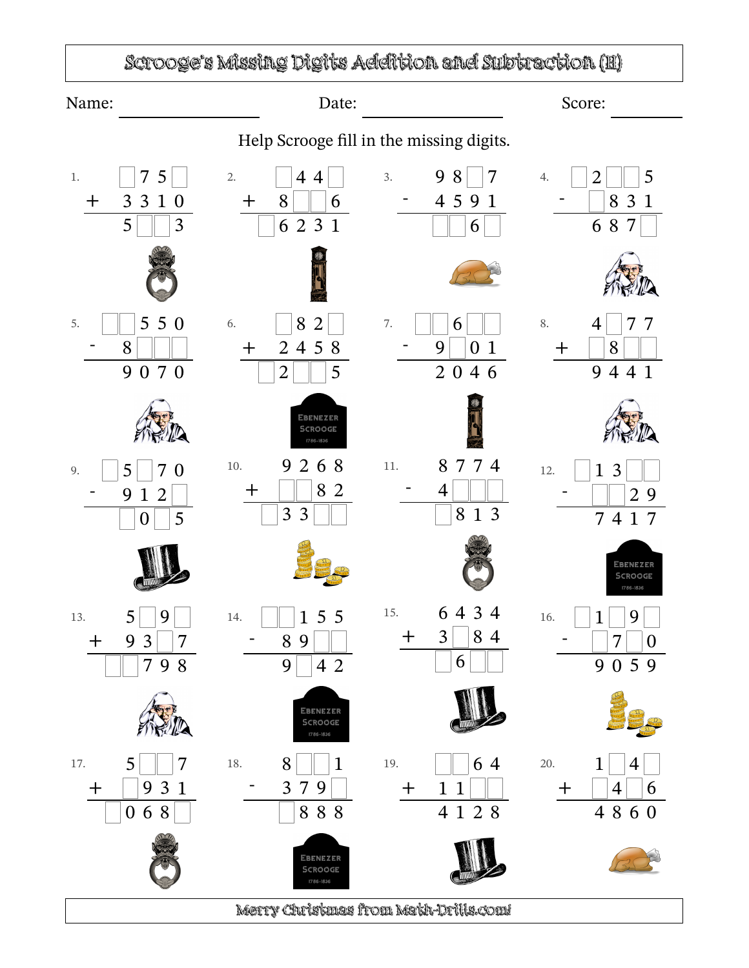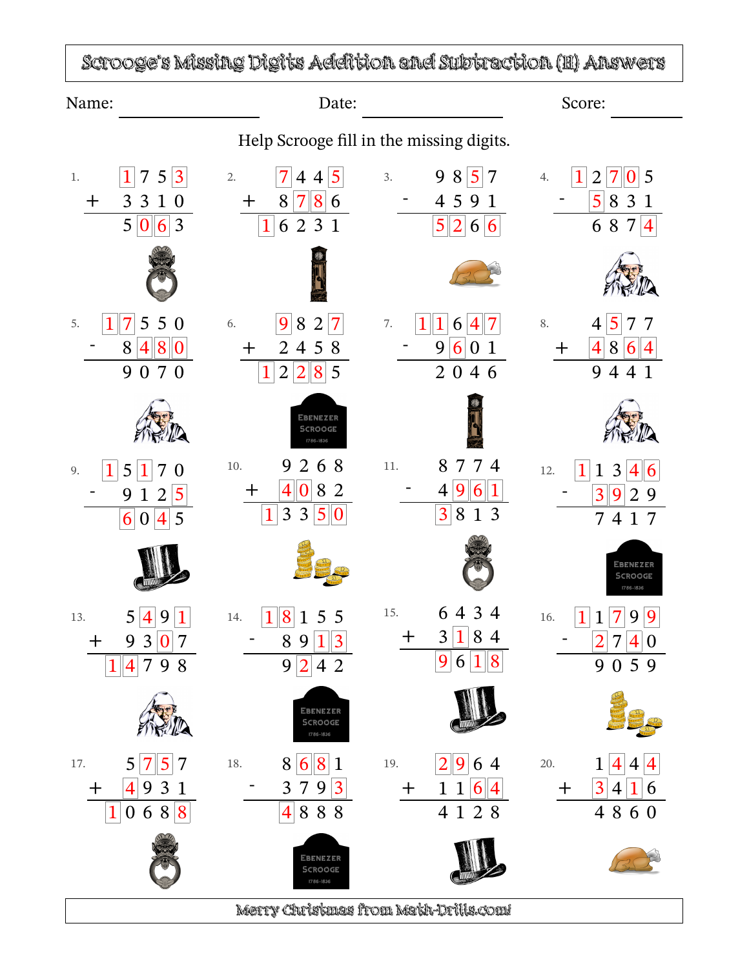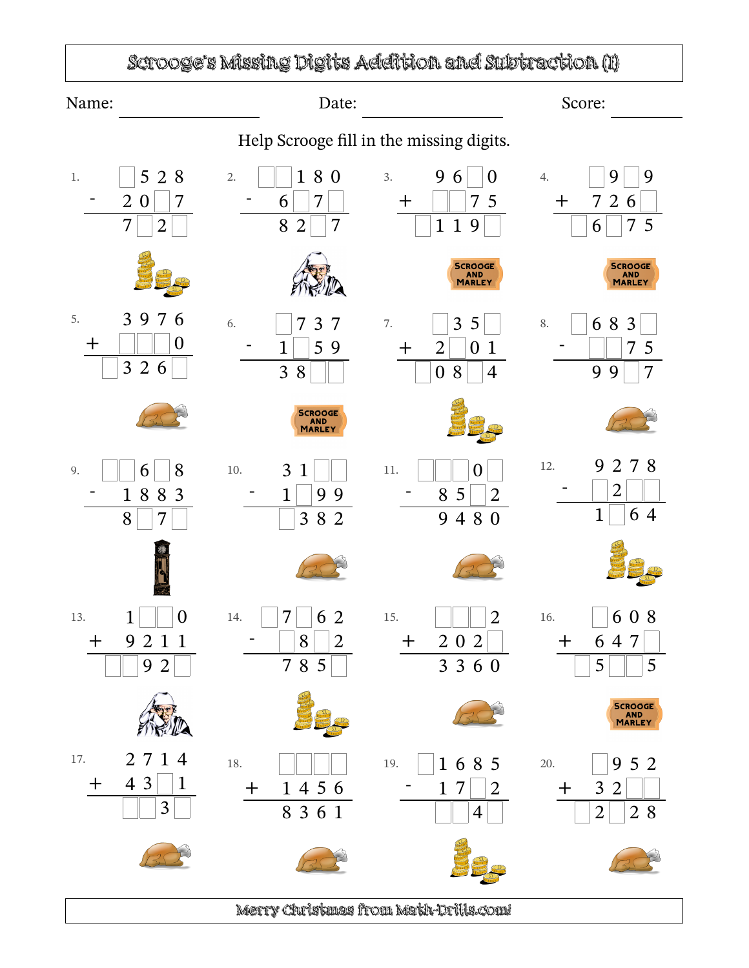## Scrooge's Missing Digits Addition and Subtraction (I)

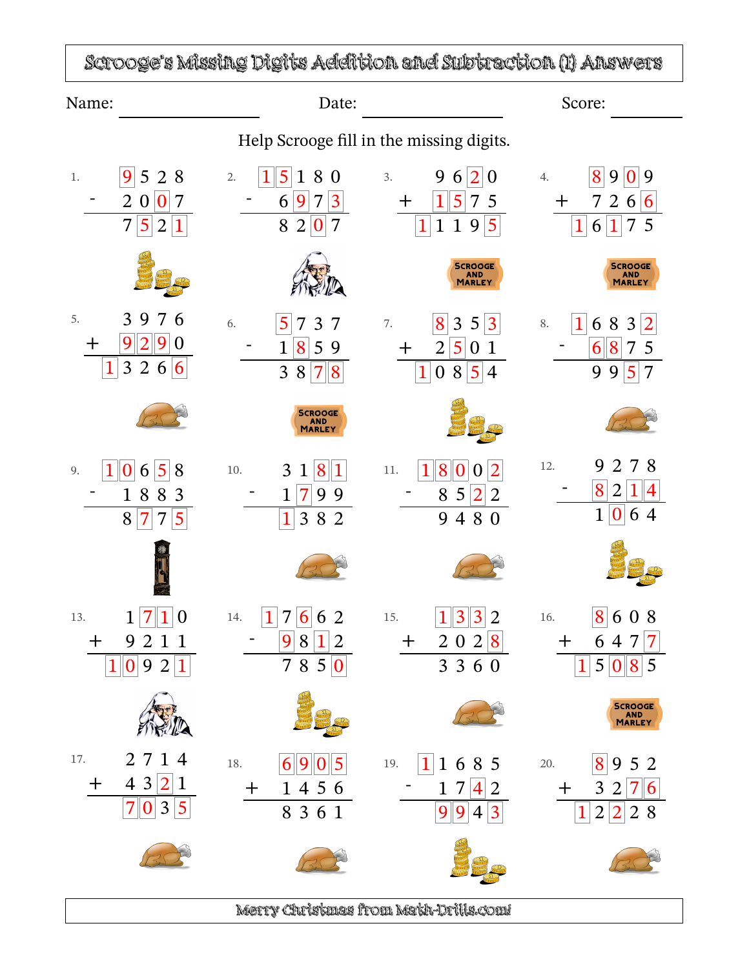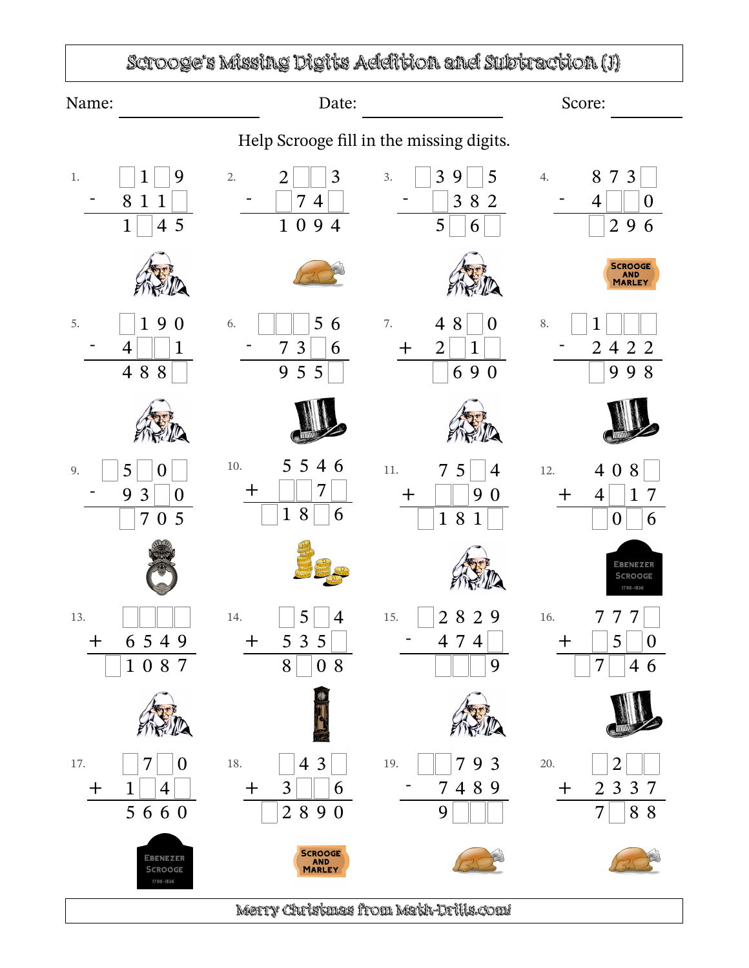## Scrooge's Missing Digits Addition and Subtraction (J)